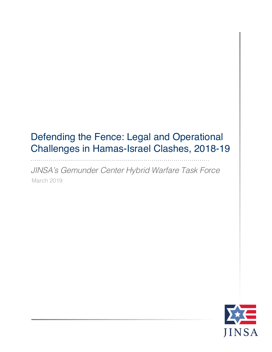## Defending the Fence: Legal and Operational Challenges in Hamas-Israel Clashes, 2018-19

*JINSA's Gemunder Center Hybrid Warfare Task Force* March 2019

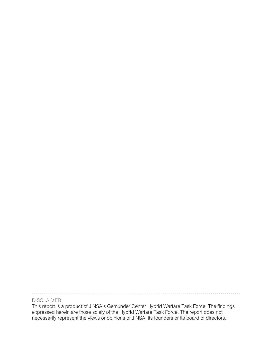. . . . . . . . . . . . . . . . . . . . 

#### DISCLAIMER

This report is a product of JINSA's Gemunder Center Hybrid Warfare Task Force. The findings expressed herein are those solely of the Hybrid Warfare Task Force. The report does not necessarily represent the views or opinions of JINSA, its founders or its board of directors.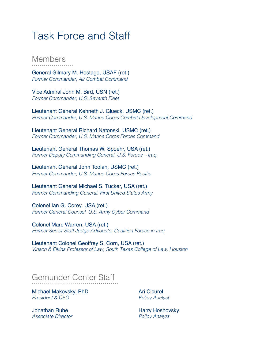## Task Force and Staff

#### Members

General Gilmary M. Hostage, USAF (ret.) *Former Commander, Air Combat Command*

Vice Admiral John M. Bird, USN (ret.) *Former Commander, U.S. Seventh Fleet*

Lieutenant General Kenneth J. Glueck, USMC (ret.) *Former Commander, U.S. Marine Corps Combat Development Command*

Lieutenant General Richard Natonski, USMC (ret.) *Former Commander, U.S. Marine Corps Forces Command*

Lieutenant General Thomas W. Spoehr, USA (ret.) *Former Deputy Commanding General, U.S. Forces – Iraq*

Lieutenant General John Toolan, USMC (ret.) Former Commander, U.S. Marine Corps Forces Pacific

Lieutenant General Michael S. Tucker, USA (ret.) *Former Commanding General, First United States Army* 

Colonel Ian G. Corey, USA (ret.) *Former General Counsel, U.S. Army Cyber Command*

Colonel Marc Warren, USA (ret.) *Former Senior Staff Judge Advocate, Coalition Forces in Iraq*

Lieutenant Colonel Geoffrey S. Corn, USA (ret.) *Vinson & Elkins Professor of Law, South Texas College of Law, Houston*

## Gemunder Center Staff

Michael Makovsky, PhD *President & CEO*

Jonathan Ruhe *Associate Director* Ari Cicurel *Policy Analyst*

Harry Hoshovsky *Policy Analyst*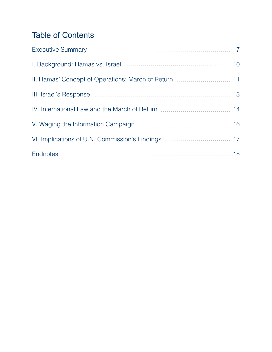#### Table of Contents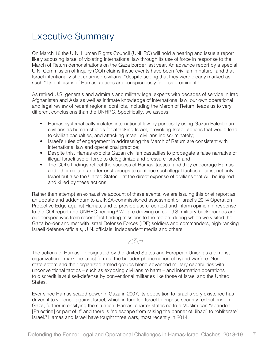#### Executive Summary

On March 18 the U.N. Human Rights Council (UNHRC) will hold a hearing and issue a report likely accusing Israel of violating international law through its use of force in response to the March of Return demonstrations on the Gaza border last year. An advance report by a special U.N. Commission of Inquiry (COI) claims these events have been "civilian in nature" and that Israel intentionally shot unarmed civilians, "despite seeing that they were clearly marked as such." Its criticisms of Hamas' actions are conspicuously far less prominent.<sup>1</sup>

As retired U.S. generals and admirals and military legal experts with decades of service in Iraq, Afghanistan and Asia as well as intimate knowledge of international law, our own operational and legal review of recent regional conflicts, including the March of Return, leads us to very different conclusions than the UNHRC. Specifically, we assess:

- Hamas systematically violates international law by purposely using Gazan Palestinian civilians as human shields for attacking Israel, provoking Israeli actions that would lead to civilian casualties, and attacking Israeli civilians indiscriminately;
- Israel's rules of engagement in addressing the March of Return are consistent with international law and operational practice;
- Despite this, Hamas exploits Gazan civilian casualties to propagate a false narrative of illegal Israeli use of force to delegitimize and pressure Israel; and
- The COI's findings reflect the success of Hamas' tactics, and they encourage Hamas and other militant and terrorist groups to continue such illegal tactics against not only Israel but also the United States – at the direct expense of civilians that will be injured and killed by these actions.

Rather than attempt an exhaustive account of these events, we are issuing this brief report as an update and addendum to a JINSA-commissioned assessment of Israel's 2014 Operation Protective Edge against Hamas, and to provide useful context and inform opinion in response to the COI report and UNHRC hearing.<sup>2</sup> We are drawing on our U.S. military backgrounds and our perspectives from recent fact-finding missions to the region, during which we visited the Gaza border and met with Israel Defense Forces (IDF) soldiers and commanders, high-ranking Israeli defense officials, U.N. officials, independent media and others.

 $\bigcirc$ 

The actions of Hamas – designated by the United States and European Union as a terrorist organization – mark the latest form of the broader phenomenon of hybrid warfare. Nonstate actors and their organized armed groups blend advanced military capabilities with unconventional tactics – such as exposing civilians to harm – and information operations to discredit lawful self-defense by conventional militaries like those of Israel and the United States.

Ever since Hamas seized power in Gaza in 2007, its opposition to Israel's very existence has driven it to violence against Israel, which in turn led Israel to impose security restrictions on Gaza, further intensifying the situation. Hamas' charter states no true Muslim can "abandon [Palestine] or part of it" and there is "no escape from raising the banner of Jihad" to "obliterate" Israel.3 Hamas and Israel have fought three wars, most recently in 2014.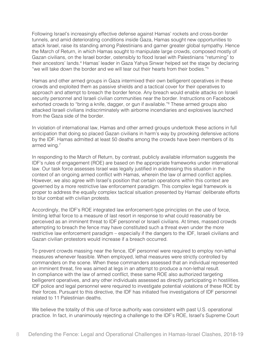Following Israel's increasingly effective defense against Hamas' rockets and cross-border tunnels, and amid deteriorating conditions inside Gaza, Hamas sought new opportunities to attack Israel, raise its standing among Palestinians and garner greater global sympathy. Hence the March of Return, in which Hamas sought to manipulate large crowds, composed mostly of Gazan civilians, on the Israel border, ostensibly to flood Israel with Palestinians "returning" to their ancestors' lands.<sup>4</sup> Hamas' leader in Gaza Yahya Sinwar helped set the stage by declaring "we will take down the border and we will tear out their hearts from their bodies."<sup>5</sup>

Hamas and other armed groups in Gaza intermixed their own belligerent operatives in these crowds and exploited them as passive shields and a tactical cover for their operatives to approach and attempt to breach the border fence. Any breach would enable attacks on Israeli security personnel and Israeli civilian communities near the border. Instructions on Facebook exhorted crowds to "bring a knife, dagger, or gun if available."6 These armed groups also attacked Israeli civilians indiscriminately with airborne incendiaries and explosives launched from the Gaza side of the border.

In violation of international law, Hamas and other armed groups undertook these actions in full anticipation that doing so placed Gazan civilians in harm's way by provoking defensive actions by the IDF. Hamas admitted at least 50 deaths among the crowds have been members of its armed wing.<sup>7</sup>

In responding to the March of Return, by contrast, publicly available information suggests the IDF's rules of engagement (ROE) are based on the appropriate frameworks under international law. Our task force assesses Israel was legally justified in addressing this situation in the context of an ongoing armed conflict with Hamas, wherein the law of armed conflict applies. However, we also agree with Israel's position that certain operations within this context are governed by a more restrictive law enforcement paradigm. This complex legal framework is proper to address the equally complex tactical situation presented by Hamas' deliberate efforts to blur combat with civilian protests.

Accordingly, the IDF's ROE integrated law enforcement-type principles on the use of force, limiting lethal force to a measure of last resort in response to what could reasonably be perceived as an imminent threat to IDF personnel or Israeli civilians. At times, massed crowds attempting to breach the fence may have constituted such a threat even under the more restrictive law enforcement paradigm – especially if the dangers to the IDF, Israeli civilians and Gazan civilian protestors would increase if a breach occurred.

To prevent crowds massing near the fence, IDF personnel were required to employ non-lethal measures whenever feasible. When employed, lethal measures were strictly controlled by commanders on the scene. When these commanders assessed that an individual represented an imminent threat, fire was aimed at legs in an attempt to produce a non-lethal result. In compliance with the law of armed conflict, these same ROE also authorized targeting belligerent operatives, and any other individuals assessed as directly participating in hostilities. IDF police and legal personnel were required to investigate potential violations of these ROE by their forces. Pursuant to this directive, the IDF has initiated five investigations of IDF personnel related to 11 Palestinian deaths.

We believe the totality of this use of force authority was consistent with past U.S. operational practice. In fact, in unanimously rejecting a challenge to the IDF's ROE, Israel's Supreme Court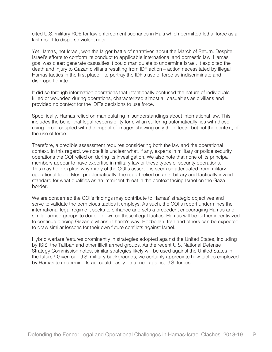cited U.S. military ROE for law enforcement scenarios in Haiti which permitted lethal force as a last resort to disperse violent riots.

Yet Hamas, not Israel, won the larger battle of narratives about the March of Return. Despite Israel's efforts to conform its conduct to applicable international and domestic law, Hamas' goal was clear: generate casualties it could manipulate to undermine Israel. It exploited the death and injury to Gazan civilians resulting from IDF action – action necessitated by illegal Hamas tactics in the first place – to portray the IDF's use of force as indiscriminate and disproportionate.

It did so through information operations that intentionally confused the nature of individuals killed or wounded during operations, characterized almost all casualties as civilians and provided no context for the IDF's decisions to use force.

Specifically, Hamas relied on manipulating misunderstandings about international law. This includes the belief that legal responsibility for civilian suffering automatically lies with those using force, coupled with the impact of images showing only the effects, but not the context, of the use of force.

Therefore, a credible assessment requires considering both the law and the operational context. In this regard, we note it is unclear what, if any, experts in military or police security operations the COI relied on during its investigation. We also note that none of its principal members appear to have expertise in military law or these types of security operations. This may help explain why many of the COI's assertions seem so attenuated from military operational logic. Most problematically, the report relied on an arbitrary and tactically invalid standard for what qualifies as an imminent threat in the context facing Israel on the Gaza border.

We are concerned the COI's findings may contribute to Hamas' strategic objectives and serve to validate the pernicious tactics it employs. As such, the COI's report undermines the international legal regime it seeks to enhance and sets a precedent encouraging Hamas and similar armed groups to double down on these illegal tactics. Hamas will be further incentivized to continue placing Gazan civilians in harm's way. Hezbollah, Iran and others can be expected to draw similar lessons for their own future conflicts against Israel.

Hybrid warfare features prominently in strategies adopted against the United States, including by ISIS, the Taliban and other illicit armed groups. As the recent U.S. National Defense Strategy Commission notes, similar strategies likely will be used against the United States in the future.<sup>8</sup> Given our U.S. military backgrounds, we certainly appreciate how tactics employed by Hamas to undermine Israel could easily be turned against U.S. forces.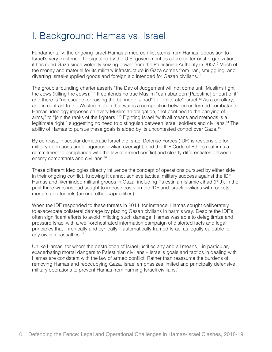### I. Background: Hamas vs. Israel

Fundamentally, the ongoing Israel-Hamas armed conflict stems from Hamas' opposition to Israel's very existence. Designated by the U.S. government as a foreign terrorist organization, it has ruled Gaza since violently seizing power from the Palestinian Authority in 2007.<sup>9</sup> Much of the money and materiel for its military infrastructure in Gaza comes from Iran, smuggling, and diverting Israel-supplied goods and foreign aid intended for Gazan civilians.<sup>10</sup>

The group's founding charter asserts "the Day of Judgement will not come until Muslims fight the Jews (killing the Jews)."<sup>11</sup> It contends no true Muslim "can abandon [Palestine] or part of it" and there is "no escape for raising the banner of Jihad" to "obliterate" Israel.12 As a corollary, and in contrast to the Western notion that war is a competition between uniformed combatants, Hamas' ideology imposes on every Muslim an obligation, "not confined to the carrying of arms," to "join the ranks of the fighters."<sup>13</sup> Fighting Israel "with all means and methods is a legitimate right," suggesting no need to distinguish between Israeli soldiers and civilians.14 The ability of Hamas to pursue these goals is aided by its uncontested control over Gaza.<sup>15</sup>

By contrast, in secular democratic Israel the Israel Defense Forces (IDF) is responsible for military operations under rigorous civilian oversight, and the IDF Code of Ethics reaffirms a commitment to compliance with the law of armed conflict and clearly differentiates between enemy combatants and civilians.<sup>16</sup>

These different ideologies directly influence the concept of operations pursued by either side in their ongoing conflict. Knowing it cannot achieve tactical military success against the IDF, Hamas and likeminded militant groups in Gaza, including Palestinian Islamic Jihad (PIJ), in the past three wars instead sought to impose costs on the IDF and Israeli civilians with rockets, mortars and tunnels (among other capabilities).

When the IDF responded to these threats in 2014, for instance, Hamas sought deliberately to exacerbate collateral damage by placing Gazan civilians in harm's way. Despite the IDF's often significant efforts to avoid inflicting such damage, Hamas was able to delegitimize and pressure Israel with a well-orchestrated information campaign of distorted facts and legal principles that – ironically and cynically – automatically framed Israel as legally culpable for any civilian casualties.<sup>17</sup>

Unlike Hamas, for whom the destruction of Israel justifies any and all means – in particular, exacerbating mortal dangers to Palestinian civilians – Israel's goals and tactics in dealing with Hamas are consistent with the law of armed conflict. Rather than reassume the burdens of removing Hamas and reoccupying Gaza, Israel emphasizes limited and principally defensive military operations to prevent Hamas from harming Israeli civilians.<sup>18</sup>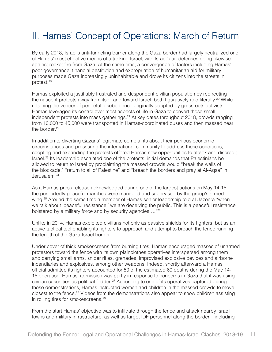## II. Hamas' Concept of Operations: March of Return

By early 2018, Israel's anti-tunneling barrier along the Gaza border had largely neutralized one of Hamas' most effective means of attacking Israel, with Israel's air defenses doing likewise against rocket fire from Gaza. At the same time, a convergence of factors including Hamas' poor governance, financial destitution and expropriation of humanitarian aid for military purposes made Gaza increasingly uninhabitable and drove its citizens into the streets in protest.19

Hamas exploited a justifiably frustrated and despondent civilian population by redirecting the nascent protests away from itself and toward Israel, both figuratively and literally.<sup>20</sup> While retaining the veneer of peaceful disobedience originally adopted by grassroots activists, Hamas leveraged its control over most aspects of life in Gaza to convert these small independent protests into mass gatherings.<sup>21</sup> At key dates throughout 2018, crowds ranging from 10,000 to 45,000 were transported in Hamas-coordinated buses and then massed near the border.<sup>22</sup>

In addition to diverting Gazans' legitimate complaints about their perilous economic circumstances and pressuring the international community to address these conditions, coopting and expanding the protests offered Hamas new opportunities to attack and discredit Israel.23 Its leadership escalated one of the protests' initial demands that Palestinians be allowed to return to Israel by proclaiming the massed crowds would "break the walls of the blockade," "return to all of Palestine" and "breach the borders and pray at Al-Aqsa" in Jerusalem.24

As a Hamas press release acknowledged during one of the largest actions on May 14-15, the purportedly peaceful marches were managed and supervised by the group's armed wing.<sup>25</sup> Around the same time a member of Hamas senior leadership told al-Jazeera "when we talk about 'peaceful resistance,' we are deceiving the public. This is a peaceful resistance bolstered by a military force and by security agencies…."26

Unlike in 2014, Hamas exploited civilians not only as passive shields for its fighters, but as an active tactical tool enabling its fighters to approach and attempt to breach the fence running the length of the Gaza-Israel border.

Under cover of thick smokescreens from burning tires, Hamas encouraged masses of unarmed protestors toward the fence with its own plainclothes operatives interspersed among them and carrying small arms, sniper rifles, grenades, improvised explosive devices and airborne incendiaries and explosives, among other weapons. Indeed, shortly afterward a Hamas official admitted its fighters accounted for 50 of the estimated 60 deaths during the May 14- 15 operation. Hamas' admission was partly in response to concerns in Gaza that it was using civilian casualties as political fodder.<sup>27</sup> According to one of its operatives captured during those demonstrations, Hamas instructed women and children in the massed crowds to move closest to the fence.28 Videos from the demonstrations also appear to show children assisting in rolling tires for smokescreens.<sup>29</sup>

From the start Hamas' objective was to infiltrate through the fence and attack nearby Israeli towns and military infrastructure, as well as target IDF personnel along the border – including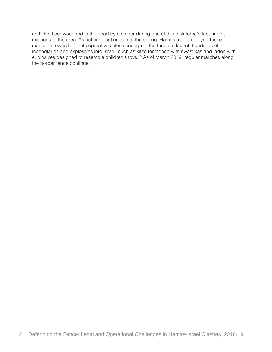an IDF officer wounded in the head by a sniper during one of this task force's fact-finding missions to the area. As actions continued into the spring, Hamas also employed these massed crowds to get its operatives close enough to the fence to launch hundreds of incendiaries and explosives into Israel, such as kites festooned with swastikas and laden with explosives designed to resemble children's toys.<sup>30</sup> As of March 2019, regular marches along the border fence continue.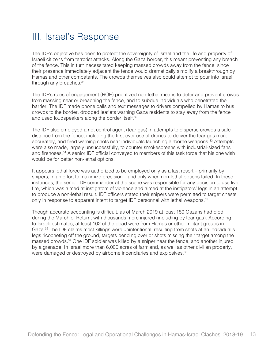## III. Israel's Response

The IDF's objective has been to protect the sovereignty of Israel and the life and property of Israeli citizens from terrorist attacks. Along the Gaza border, this meant preventing any breach of the fence. This in turn necessitated keeping massed crowds away from the fence, since their presence immediately adjacent the fence would dramatically simplify a breakthrough by Hamas and other combatants. The crowds themselves also could attempt to pour into Israel through any breaches.<sup>31</sup>

The IDF's rules of engagement (ROE) prioritized non-lethal means to deter and prevent crowds from massing near or breaching the fence, and to subdue individuals who penetrated the barrier. The IDF made phone calls and text messages to drivers compelled by Hamas to bus crowds to the border, dropped leaflets warning Gaza residents to stay away from the fence and used loudspeakers along the border itself.<sup>32</sup>

The IDF also employed a riot control agent (tear gas) in attempts to disperse crowds a safe distance from the fence, including the first-ever use of drones to deliver the tear gas more accurately, and fired warning shots near individuals launching airborne weapons.<sup>33</sup> Attempts were also made, largely unsuccessfully, to counter smokescreens with industrial-sized fans and firehoses.<sup>34</sup> A senior IDF official conveyed to members of this task force that his one wish would be for better non-lethal options.

It appears lethal force was authorized to be employed only as a last resort – primarily by snipers, in an effort to maximize precision – and only when non-lethal options failed. In these instances, the senior IDF commander at the scene was responsible for any decision to use live fire, which was aimed at instigators of violence and aimed at the instigators' legs in an attempt to produce a non-lethal result. IDF officers stated their snipers were permitted to target chests only in response to apparent intent to target IDF personnel with lethal weapons.<sup>35</sup>

Though accurate accounting is difficult, as of March 2019 at least 180 Gazans had died during the March of Return, with thousands more injured (including by tear gas). According to Israeli estimates, at least 102 of the dead were from Hamas or other militant groups in Gaza.<sup>36</sup> The IDF claims most killings were unintentional, resulting from shots at an individual's legs ricocheting off the ground, targets bending over or shots missing their target among the massed crowds.37 One IDF soldier was killed by a sniper near the fence, and another injured by a grenade. In Israel more than 6,000 acres of farmland, as well as other civilian property, were damaged or destroyed by airborne incendiaries and explosives.<sup>38</sup>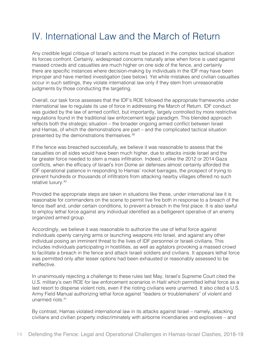## IV. International Law and the March of Return

Any credible legal critique of Israel's actions must be placed in the complex tactical situation its forces confront. Certainly, widespread concerns naturally arise when force is used against massed crowds and casualties are much higher on one side of the fence, and certainly there are specific instances where decision-making by individuals in the IDF may have been improper and have merited investigation (see below). Yet while mistakes and civilian casualties occur in such settings, they violate international law only if they stem from unreasonable judgments by those conducting the targeting.

Overall, our task force assesses that the IDF's ROE followed the appropriate frameworks under international law to regulate its use of force in addressing the March of Return. IDF conduct was guided by the law of armed conflict, but importantly, largely controlled by more restrictive regulations found in the traditional law enforcement legal paradigm. This blended approach reflects both the strategic situation – the broader ongoing armed conflict between Israel and Hamas, of which the demonstrations are part – and the complicated tactical situation presented by the demonstrations themselves.39

If the fence was breached successfully, we believe it was reasonable to assess that the casualties on all sides would have been much higher, due to attacks inside Israel and the far greater force needed to stem a mass infiltration. Indeed, unlike the 2012 or 2014 Gaza conflicts, when the efficacy of Israel's Iron Dome air defenses almost certainly afforded the IDF operational patience in responding to Hamas' rocket barrages, the prospect of trying to prevent hundreds or thousands of infiltrators from attacking nearby villages offered no such relative luxury.40

Provided the appropriate steps are taken in situations like these, under international law it is reasonable for commanders on the scene to permit live fire both in response to a breach of the fence itself and, under certain conditions, to prevent a breach in the first place. It is also lawful to employ lethal force against any individual identified as a belligerent operative of an enemy organized armed group.

Accordingly, we believe it was reasonable to authorize the use of lethal force against individuals openly carrying arms or launching weapons into Israel, and against any other individual posing an imminent threat to the lives of IDF personnel or Israeli civilians. This includes individuals participating in hostilities, as well as agitators provoking a massed crowd to facilitate a breach in the fence and attack Israeli soldiers and civilians. It appears lethal force was permitted only after lesser options had been exhausted or reasonably assessed to be ineffective.

In unanimously rejecting a challenge to these rules last May, Israel's Supreme Court cited the U.S. military's own ROE for law enforcement scenarios in Haiti which permitted lethal force as a last resort to disperse violent riots, even if the rioting civilians were unarmed. It also cited a U.S. Army Field Manual authorizing lethal force against "leaders or troublemakers" of violent and unarmed riots.41

By contrast, Hamas violated international law in its attacks against Israel – namely, attacking civilians and civilian property indiscriminately with airborne incendiaries and explosives – and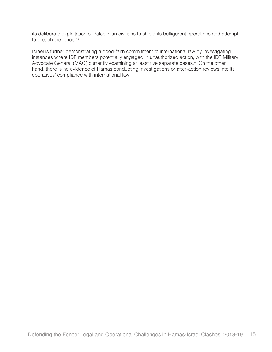its deliberate exploitation of Palestinian civilians to shield its belligerent operations and attempt to breach the fence.<sup>42</sup>

Israel is further demonstrating a good-faith commitment to international law by investigating instances where IDF members potentially engaged in unauthorized action, with the IDF Military Advocate General (MAG) currently examining at least five separate cases.<sup>43</sup> On the other hand, there is no evidence of Hamas conducting investigations or after-action reviews into its operatives' compliance with international law.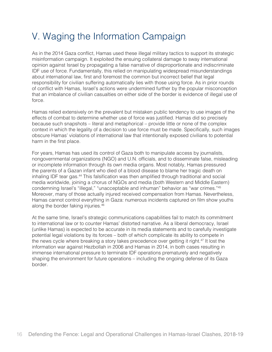## V. Waging the Information Campaign

As in the 2014 Gaza conflict, Hamas used these illegal military tactics to support its strategic misinformation campaign. It exploited the ensuing collateral damage to sway international opinion against Israel by propagating a false narrative of disproportionate and indiscriminate IDF use of force. Fundamentally, this relied on manipulating widespread misunderstandings about international law, first and foremost the common but incorrect belief that legal responsibility for civilian suffering automatically lies with those using force. As in prior rounds of conflict with Hamas, Israel's actions were undermined further by the popular misconception that an imbalance of civilian casualties on either side of the border is evidence of illegal use of force.

Hamas relied extensively on the prevalent but mistaken public tendency to use images of the effects of combat to determine whether use of force was justified. Hamas did so precisely because such snapshots – literal and metaphorical – provide little or none of the complex context in which the legality of a decision to use force must be made. Specifically, such images obscure Hamas' violations of international law that intentionally exposed civilians to potential harm in the first place.

For years, Hamas has used its control of Gaza both to manipulate access by journalists, nongovernmental organizations (NGO) and U.N. officials, and to disseminate false, misleading or incomplete information through its own media organs. Most notably, Hamas pressured the parents of a Gazan infant who died of a blood disease to blame her tragic death on inhaling IDF tear gas.<sup>44</sup> This falsification was then amplified through traditional and social media worldwide, joining a chorus of NGOs and media (both Western and Middle Eastern) condemning Israel's "illegal," "unacceptable and inhuman" behavior as "war crimes."<sup>45</sup> Moreover, many of those actually injured received compensation from Hamas. Nevertheless, Hamas cannot control everything in Gaza: numerous incidents captured on film show youths along the border faking injuries.46

At the same time, Israel's strategic communications capabilities fail to match its commitment to international law or to counter Hamas' distorted narrative. As a liberal democracy, Israel (unlike Hamas) is expected to be accurate in its media statements and to carefully investigate potential legal violations by its forces – both of which complicate its ability to compete in the news cycle where breaking a story takes precedence over getting it right.<sup>47</sup> It lost the information war against Hezbollah in 2006 and Hamas in 2014, in both cases resulting in immense international pressure to terminate IDF operations prematurely and negatively shaping the environment for future operations – including the ongoing defense of its Gaza border.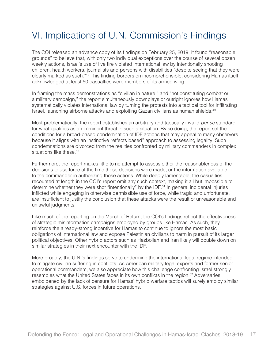## VI. Implications of U.N. Commission's Findings

The COI released an advance copy of its findings on February 25, 2019. It found "reasonable grounds" to believe that, with only two individual exceptions over the course of several dozen weekly actions, Israel's use of live fire violated international law by intentionally shooting children, health workers, journalists and persons with disabilities "despite seeing that they were clearly marked as such."<sup>48</sup> This finding borders on incomprehensible, considering Hamas itself acknowledged at least 50 casualties were members of its armed wing.

In framing the mass demonstrations as "civilian in nature," and "not constituting combat or a military campaign," the report simultaneously downplays or outright ignores how Hamas systematically violates international law by turning the protests into a tactical tool for infiltrating Israel, launching airborne attacks and exploiting Gazan civilians as human shields.<sup>49</sup>

Most problematically, the report establishes an arbitrary and tactically invalid *per se* standard for what qualifies as an imminent threat in such a situation. By so doing, the report set the conditions for a broad-based condemnation of IDF actions that may appeal to many observers because it aligns with an instinctive "effects based" approach to assessing legality. Such condemnations are divorced from the realities confronted by military commanders in complex situations like these.<sup>50</sup>

Furthermore, the report makes little to no attempt to assess either the reasonableness of the decisions to use force at the time those decisions were made, or the information available to the commander in authorizing those actions. While deeply lamentable, the casualties recounted at length in the COI's report omit any such context, making it all but impossible to determine whether they were shot "intentionally" by the IDF.<sup>51</sup> In general incidental injuries inflicted while engaging in otherwise permissible use of force, while tragic and unfortunate, are insufficient to justify the conclusion that these attacks were the result of unreasonable and unlawful judgments.

Like much of the reporting on the March of Return, the COI's findings reflect the effectiveness of strategic misinformation campaigns employed by groups like Hamas. As such, they reinforce the already-strong incentive for Hamas to continue to ignore the most basic obligations of international law and expose Palestinian civilians to harm in pursuit of its larger political objectives. Other hybrid actors such as Hezbollah and Iran likely will double down on similar strategies in their next encounter with the IDF.

More broadly, the U.N.'s findings serve to undermine the international legal regime intended to mitigate civilian suffering in conflicts. As American military legal experts and former senior operational commanders, we also appreciate how this challenge confronting Israel strongly resembles what the United States faces in its own conflicts in the region.52 Adversaries emboldened by the lack of censure for Hamas' hybrid warfare tactics will surely employ similar strategies against U.S. forces in future operations.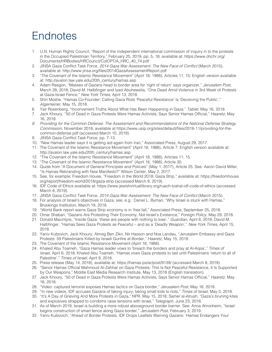# **Endnotes**

- 1. U.N. Human Rights Council, "Report of the independent international commission of inquiry in to the protests in the Occupied Palestinian Territory," February 25, 2019, pp. 5, 18; available at: https://www.ohchr.org/ Documents/HRBodies/HRCouncil/CoIOPT/A\_HRC\_40\_74.pdf
- 2. JINSA Gaza Conflict Task Force, 2014 Gaza War Assessment: The New Face of Conflict (March 2015), available at: http://www.jinsa.org/files/2014GazaAssessmentReport.pdf
- 3. "The Covenant of the Islamic Resistance Movement" (April 18, 1988), Articles 11, 15; English version available at: http://avalon.law.yale.edu/20th\_century/hamas.asp
- 4. Adam Rasgon, "Masses of Gazans head to border area for 'right of return' says organizer," *Jerusalem Post*, March 28, 2018; David M. Halbfinger and Iyad Abuheweila, "One Dead Amid Violence in 3rd Week of Protests at Gaza-Israel Fence," *New York Times*, April 13, 2018.
- 5. Shiri Moshe, "Hamas Co-Founder: Calling Gaza Riots 'Peaceful Resistance' Is 'Deceiving the Public'," *Algemeiner*, May 15, 2018.
- 6. Yair Rosenberg, "Inconvenient Truths About What Has Been Happening in Gaza," *Tablet*, May 16, 2018.
- 7. Jack Khoury, "50 of Dead in Gaza Protests Were Hamas Activists, Says Senior Hamas Official," *Haaretz*, May 16, 2018.
- *8. Providing for the Common Defense: The Assessment and Recommendations of the National Defense Strategy Commission*, November 2018, available at https://www.usip.org/sites/default/files/2018-11/providing-for-thecommon-defense.pdf (accessed March 10, 2019).
- 9. JINSA Gaza Conflict Task Force, pp. 7-13.
- 10. "New Hamas leader says it is getting aid again from Iran," Associated Press, August 29, 2017.
- 11. The Covenant of the Islamic Resistance Movement" (April 18, 1988), Article 7; English version available at: http://avalon.law.yale.edu/20th\_century/hamas.asp
- 12. "The Covenant of the Islamic Resistance Movement" (April 18, 1988), Articles 11, 15.
- 13. "The Covenant of the Islamic Resistance Movement" (April 18, 1988), Article 30.
- 14. Quote from "A Document of General Principles and Policies" (May 1, 2017), Article 25. See: Aaron David Miller, "Is Hamas Rebranding with New Manifesto?" Wilson Center, May 2, 2017.
- 15. See, for example: Freedom House, "Freedom in the World 2018: Gaza Strip," available at: https://freedomhouse. org/report/freedom-world/2018/gaza-strip (accessed March 8, 2019).
- 16. IDF Code of Ethics available at: https://www.jewishvirtuallibrary.org/ruach-tzahal-idf-code-of-ethics (accessed March 8, 2019).
- 17. JINSA Gaza Conflict Task Force, 2014 Gaza War Assessment: The New Face of Conflict (March 2015).
- 18. For analysis of Israel's objectives in Gaza, see, e.g.: Daniel L. Byman, "Why Israel is stuck with Hamas," Brookings Institution, March 19, 2018.
- 19. "World Bank report warns Gaza Strip economy is in 'free fall," Associated Press, September 25, 2018.
- 20. Omar Shaban, "Gazans Are Protesting Their Economy, Not Israel's Existence," *Foreign Policy*, May 29, 2018.
- 21. Donald Macintyre, "Inside Gaza: 'these are people with nothing to lose'," *Guardian*, April 8, 2018; David M. Halbfinger, "Hamas Sees Gaza Protests as Peaceful – and as a 'Deadly Weapon'," *New York Times*, April 15, 2018.
- 22. Yaniv Kubovich, Jack Khoury, Almog Ben Zikri, Nir Hasson and Noa Landau, "Jerusalem Embassy and Gaza Protests: 59 Palestinians Killed by Israeli Gunfire at Border," *Haaretz*, May 15, 2018.
- 23. The Covenant of the Islamic Resistance Movement (April 18, 1988).
- 24. Khaled Abu Toameh, "Gaza Hamas leader vows to 'breach the borders and pray at Al-Aqsa'," *Times of Israel*, April 6, 2018; Khaled Abu Toameh, "Hamas vows Gaza protests to last until Palestinians 'return to all of Palestine'," *Times of Israel*, April 9, 2018.
- 25. Press release (May 14, 2018), available at: https://hamas.ps/ar/post/9139/ (accessed March 8, 2019).
- 26. "Senior Hamas Official Mahmoud Al-Zahhar on Gaza Protests: This Is Not Peaceful Resistance, It Is Supported by Our Weapons," Middle East Media Research Institute, May 13, 2018 (English translation).
- 27. Jack Khoury, "50 of Dead in Gaza Protests Were Hamas Activists, Says Senior Hamas Official," *Haaretz*, May 16, 2018.
- 28. "Video: captured terrorist exposes Hamas tactics on Gaza border," *Jerusalem Post*, May 16, 2018.
- 29. "In new videos, IDF accuses Gazans of faking injury, taking small kids to riots," *Times of Israel*, May 5, 2018.
- 30. "It's A Day of Grieving And More Protests in Gaza," NPR, May 15, 2018; Samer al-Atrush, "Gaza's bruning kites and explosives strapped to condoms raise tensions with Israel," *Telegraph*, June 23, 2018.
- 31. As of March 2019, Israel is building a more robust aboveground border barrier. See: Anna Ahronheim, "Israel begins construction of smart fence along Gaza border," *Jerusalem Post*, February 3, 2019.
- 32. Yaniv Kubovich, "Ahead of Border Protests, IDF Drops Leaflets Warning Gazans: 'Hamas Endangers Your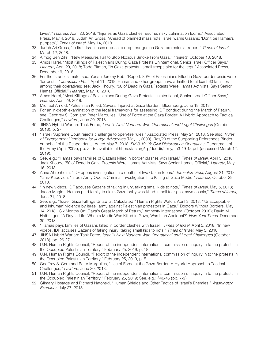Lives'," *Haaretz*, April 20, 2018; "Injuries as Gaza clashes resume, risky culmination looms," Associated Press, May 4, 2018; Judah Ari Gross, "Ahead of planned mass riots, Israel warns Gazans: 'Don't be Hamas's puppets'," *Times of Israel*, May 14, 2018.

- 33. Judah Ari Gross, "In first, Israel uses drones to drop tear gas on Gaza protestors report," *Times of Israel*, March 12, 2018.
- 34. Almog Ben Zikri, "New Measures Fail to Stop Noxious Smoke From Gaza," *Haaretz*, October 13, 2018.
- 35. Amos Harel, "Most Killings of Palestinians During Gaza Protests Unintentional, Senior Israeli Officer Says," *Haaretz*, April 29, 2018; Todd Pitman, "In Gaza protests, Israeli troops aim for the legs," Associated Press, December 9, 2018.
- 36. For the Israel estimate, see: Yonah Jeremy Bob, "Report: 80% of Palestinians killed in Gaza border crisis were 'terrorists'," *Jerusalem Post*, April 11, 2018. Hamas and other groups have admitted to at least 60 fatalities among their operatives; see: Jack Khoury, "50 of Dead in Gaza Protests Were Hamas Activists, Says Senior Hamas Official," *Haaretz*, May 16, 2018.
- 37. Amos Harel, "Most Killings of Palestinians During Gaza Protests Unintentional, Senior Israeli Officer Says," *Haaretz*, April 29, 2018.
- 38. Michael Arnold, "Palestinian Killed, Several Injured at Gaza Border," Bloomberg, June 18, 2018.
- 39. For an in-depth examination of the legal frameworks for assessing IDF conduct during the March of Return, see: Geoffrey S. Corn and Peter Margulies, "Use of Force at the Gaza Border: A Hybrid Approach to Tactical Challenges," *Lawfare*, June 20, 2018.
- 40. JINSA Hybrid Warfare Task Force, *Israel's Next Northern War: Operational and Legal Challenges* (October 2018), p. 27.
- 41. "Israeli Supreme Court rejects challenge to open-fire rules," Associated Press, May 24, 2018. See also: *Rules of Engagement Handbook for Judge Advocates* (May 1, 2000), Res/20 of the Supporting References Binder on behalf of the Respondents, dated May 7, 2018; *FM 3-19.15: Civil Disturbance Operations*, Department of the Army (April 2005), pp. 2-15, available at https://fas.org/irp/doddir/army/fm3-19-15.pdf (accessed March 12, 2019).
- 42. See, e.g.: "Hamas pays families of Gazans killed in border clashes with Israel," *Times of Israel*, April 5, 2018; Jack Khoury, "50 of Dead in Gaza Protests Were Hamas Activists, Says Senior Hamas Official," *Haaretz*, May 16, 2018.
- 43. Anna Ahronheim, "IDF opens investigation into deaths of two Gazan teens," *Jerusalem Post*, August 21, 2018; Yaniv Kubovich, "Israeli Army Opens Criminal Investigation Into Killing of Gaza Medic," *Haaretz*, October 29, 2018.
- 44. "In new videos, IDF accuses Gazans of faking injury, taking small kids to riots," *Times of Israel*, May 5, 2018; Jacob Magid, "Hamas paid family to claim Gaza baby was killed Israeli tear gas, says cousin," *Times of Israel*, June 21, 2018.
- 45. See, e.g.: "Israel: Gaza Killings Unlawful, Calculated," Human Rights Watch, April 3, 2018; "'Unacceptable and inhuman' violence by Israeli army against Palestinian protestors in Gaza," Doctors Without Borders, May 14, 2018; "Six Months On: Gaza's Great March of Return," Amnesty International (October 2018); David M. Halbfinger, "A Day, a Life: When a Medic Was Killed in Gaza, Was It an Accident?" *New York Times*, December 30, 2018.
- 46. "Hamas pays families of Gazans killed in border clashes with Israel," *Times of Israel*, April 5, 2018; "In new videos, IDF accuses Gazans of faking injury, taking small kids to riots," *Times of Israel*, May 5, 2018.
- 47. JINSA Hybrid Warfare Task Force, *Israel's Next Northern War: Operational and Legal Challenges* (October 2018), pp. 26-27.
- 48. U.N. Human Rights Council, "Report of the independent international commission of inquiry in to the protests in the Occupied Palestinian Territory," February 25, 2019, p. 18.
- 49. U.N. Human Rights Council, "Report of the independent international commission of inquiry in to the protests in the Occupied Palestinian Territory," February 25, 2019, p. 5.
- 50. Geoffrey S. Corn and Peter Margulies, "Use of Force at the Gaza Border: A Hybrid Approach to Tactical Challenges," *Lawfare*, June 20, 2018.
- 51. U.N. Human Rights Council, "Report of the independent international commission of inquiry in to the protests in the Occupied Palestinian Territory," February 25, 2019; See, e.g.: §40-46 (pp. 7-9).
- 52. Gilmary Hostage and Richard Natonski, "Human Shields and Other Tactics of Israel's Enemies," *Washington Examiner*, July 27, 2018.